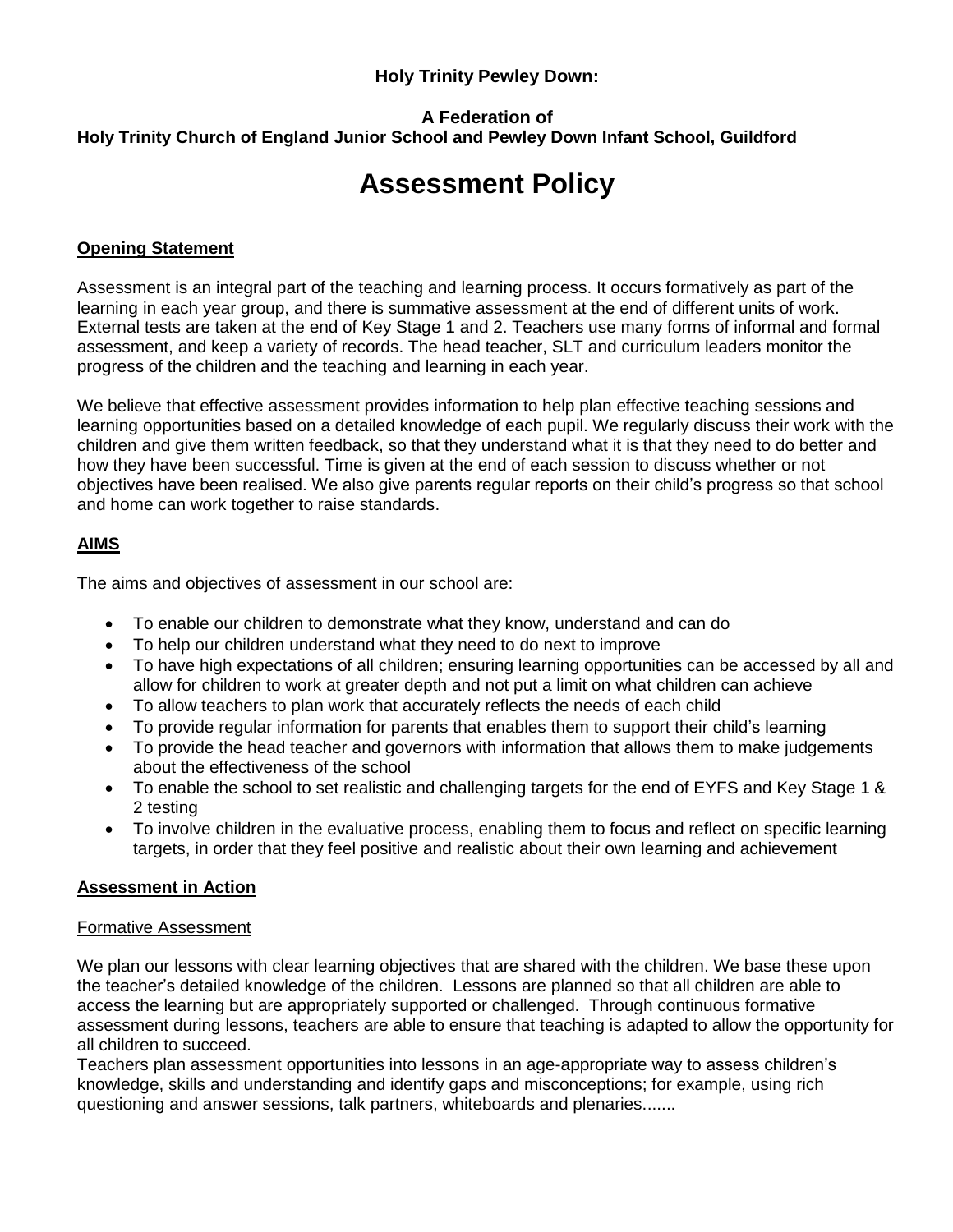## **Holy Trinity Pewley Down:**

# **A Federation of Holy Trinity Church of England Junior School and Pewley Down Infant School, Guildford**

# **Assessment Policy**

# **Opening Statement**

Assessment is an integral part of the teaching and learning process. It occurs formatively as part of the learning in each year group, and there is summative assessment at the end of different units of work. External tests are taken at the end of Key Stage 1 and 2. Teachers use many forms of informal and formal assessment, and keep a variety of records. The head teacher, SLT and curriculum leaders monitor the progress of the children and the teaching and learning in each year.

We believe that effective assessment provides information to help plan effective teaching sessions and learning opportunities based on a detailed knowledge of each pupil. We regularly discuss their work with the children and give them written feedback, so that they understand what it is that they need to do better and how they have been successful. Time is given at the end of each session to discuss whether or not objectives have been realised. We also give parents regular reports on their child's progress so that school and home can work together to raise standards.

# **AIMS**

The aims and objectives of assessment in our school are:

- To enable our children to demonstrate what they know, understand and can do
- To help our children understand what they need to do next to improve
- To have high expectations of all children; ensuring learning opportunities can be accessed by all and allow for children to work at greater depth and not put a limit on what children can achieve
- To allow teachers to plan work that accurately reflects the needs of each child
- To provide regular information for parents that enables them to support their child's learning
- To provide the head teacher and governors with information that allows them to make judgements about the effectiveness of the school
- To enable the school to set realistic and challenging targets for the end of EYFS and Key Stage 1 & 2 testing
- To involve children in the evaluative process, enabling them to focus and reflect on specific learning targets, in order that they feel positive and realistic about their own learning and achievement

## **Assessment in Action**

## Formative Assessment

We plan our lessons with clear learning objectives that are shared with the children. We base these upon the teacher's detailed knowledge of the children. Lessons are planned so that all children are able to access the learning but are appropriately supported or challenged. Through continuous formative assessment during lessons, teachers are able to ensure that teaching is adapted to allow the opportunity for all children to succeed.

Teachers plan assessment opportunities into lessons in an age-appropriate way to assess children's knowledge, skills and understanding and identify gaps and misconceptions; for example, using rich questioning and answer sessions, talk partners, whiteboards and plenaries.......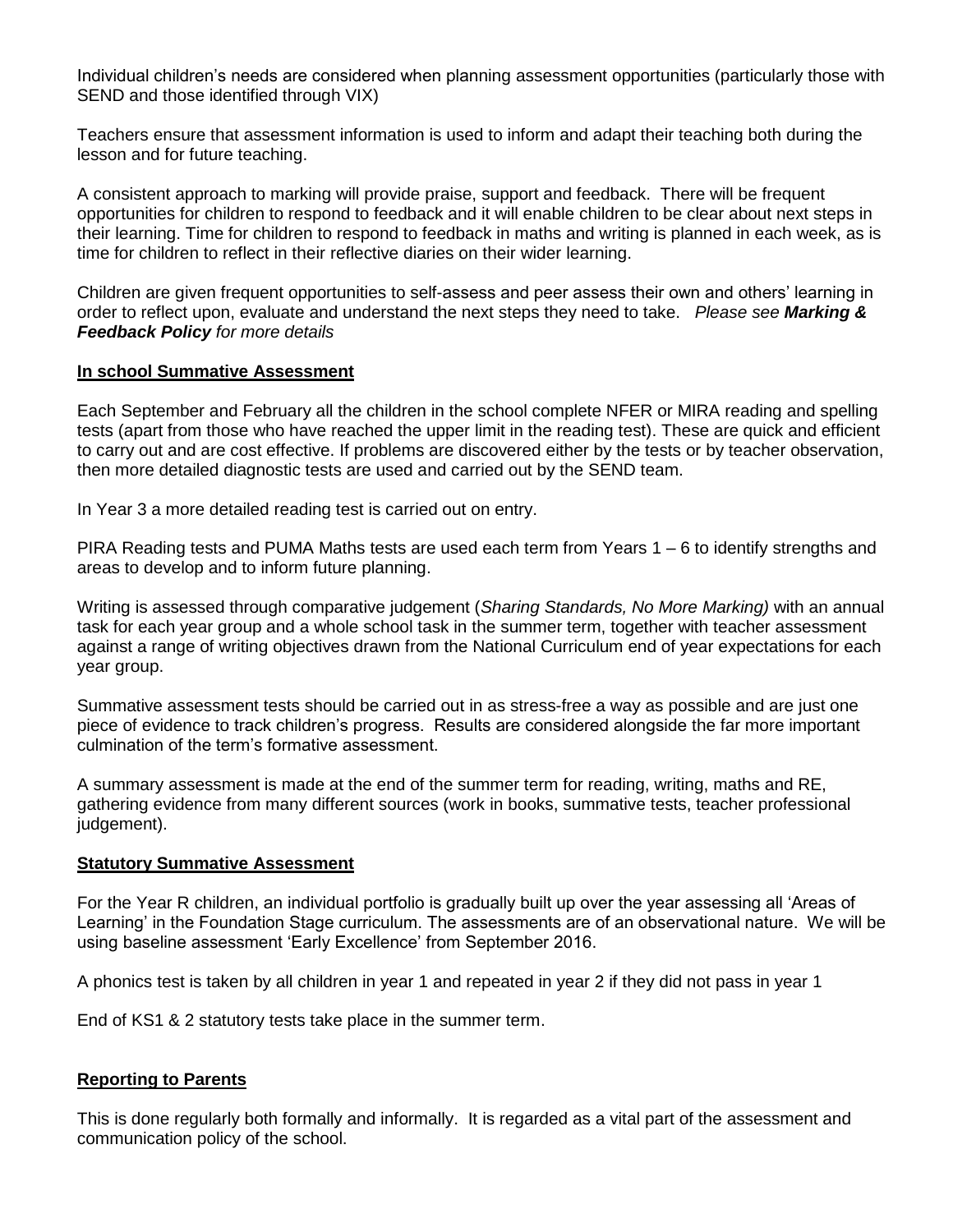Individual children's needs are considered when planning assessment opportunities (particularly those with SEND and those identified through VIX)

Teachers ensure that assessment information is used to inform and adapt their teaching both during the lesson and for future teaching.

A consistent approach to marking will provide praise, support and feedback. There will be frequent opportunities for children to respond to feedback and it will enable children to be clear about next steps in their learning. Time for children to respond to feedback in maths and writing is planned in each week, as is time for children to reflect in their reflective diaries on their wider learning.

Children are given frequent opportunities to self-assess and peer assess their own and others' learning in order to reflect upon, evaluate and understand the next steps they need to take. *Please see Marking & Feedback Policy for more details*

#### **In school Summative Assessment**

Each September and February all the children in the school complete NFER or MIRA reading and spelling tests (apart from those who have reached the upper limit in the reading test). These are quick and efficient to carry out and are cost effective. If problems are discovered either by the tests or by teacher observation, then more detailed diagnostic tests are used and carried out by the SEND team.

In Year 3 a more detailed reading test is carried out on entry.

PIRA Reading tests and PUMA Maths tests are used each term from Years 1 – 6 to identify strengths and areas to develop and to inform future planning.

Writing is assessed through comparative judgement (*Sharing Standards, No More Marking)* with an annual task for each year group and a whole school task in the summer term, together with teacher assessment against a range of writing objectives drawn from the National Curriculum end of year expectations for each year group.

Summative assessment tests should be carried out in as stress-free a way as possible and are just one piece of evidence to track children's progress. Results are considered alongside the far more important culmination of the term's formative assessment.

A summary assessment is made at the end of the summer term for reading, writing, maths and RE, gathering evidence from many different sources (work in books, summative tests, teacher professional judgement).

#### **Statutory Summative Assessment**

For the Year R children, an individual portfolio is gradually built up over the year assessing all 'Areas of Learning' in the Foundation Stage curriculum. The assessments are of an observational nature. We will be using baseline assessment 'Early Excellence' from September 2016.

A phonics test is taken by all children in year 1 and repeated in year 2 if they did not pass in year 1

End of KS1 & 2 statutory tests take place in the summer term.

## **Reporting to Parents**

This is done regularly both formally and informally. It is regarded as a vital part of the assessment and communication policy of the school.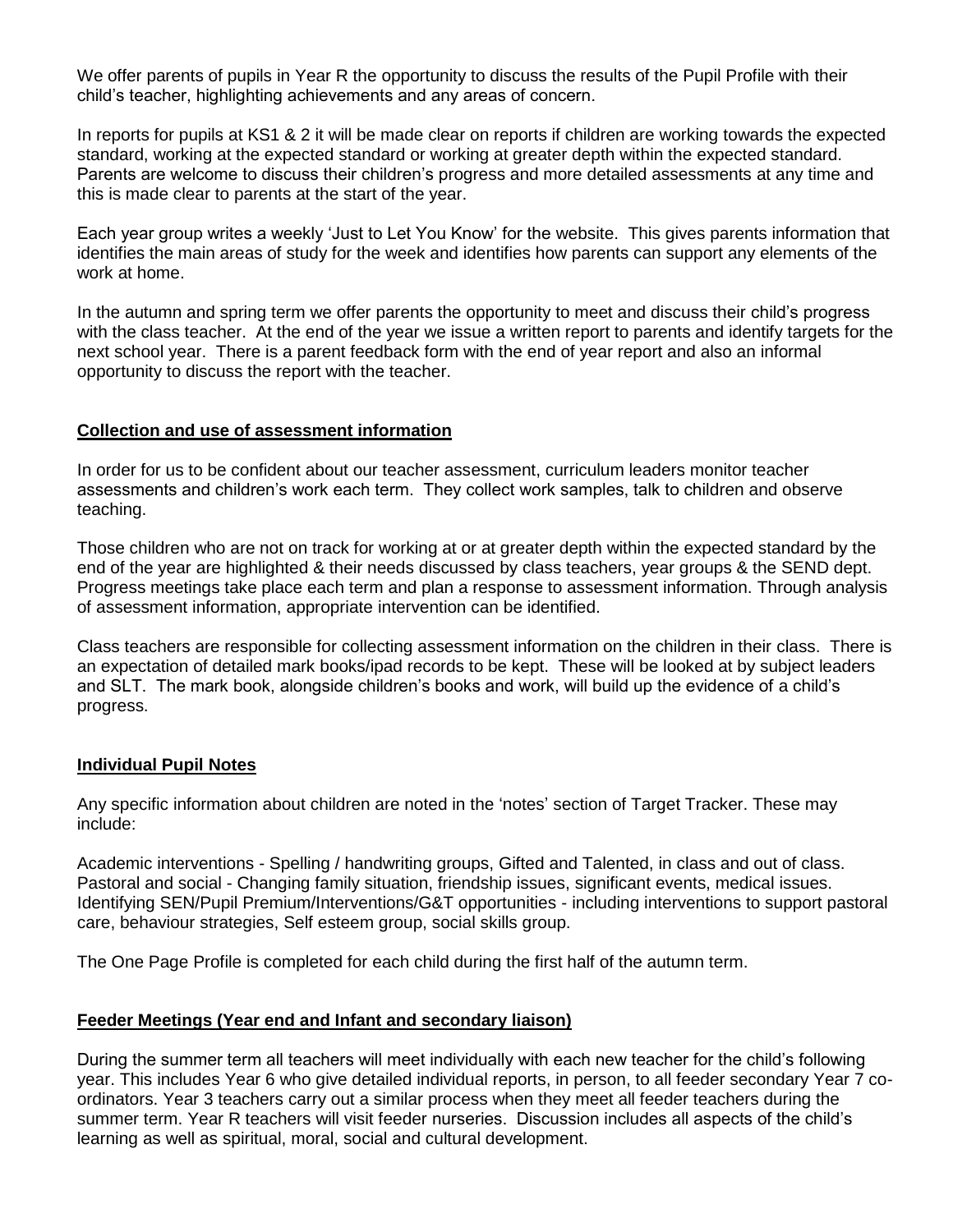We offer parents of pupils in Year R the opportunity to discuss the results of the Pupil Profile with their child's teacher, highlighting achievements and any areas of concern.

In reports for pupils at KS1 & 2 it will be made clear on reports if children are working towards the expected standard, working at the expected standard or working at greater depth within the expected standard. Parents are welcome to discuss their children's progress and more detailed assessments at any time and this is made clear to parents at the start of the year.

Each year group writes a weekly 'Just to Let You Know' for the website. This gives parents information that identifies the main areas of study for the week and identifies how parents can support any elements of the work at home.

In the autumn and spring term we offer parents the opportunity to meet and discuss their child's progress with the class teacher. At the end of the year we issue a written report to parents and identify targets for the next school year. There is a parent feedback form with the end of year report and also an informal opportunity to discuss the report with the teacher.

#### **Collection and use of assessment information**

In order for us to be confident about our teacher assessment, curriculum leaders monitor teacher assessments and children's work each term. They collect work samples, talk to children and observe teaching.

Those children who are not on track for working at or at greater depth within the expected standard by the end of the year are highlighted & their needs discussed by class teachers, year groups & the SEND dept. Progress meetings take place each term and plan a response to assessment information. Through analysis of assessment information, appropriate intervention can be identified.

Class teachers are responsible for collecting assessment information on the children in their class. There is an expectation of detailed mark books/ipad records to be kept. These will be looked at by subject leaders and SLT. The mark book, alongside children's books and work, will build up the evidence of a child's progress.

#### **Individual Pupil Notes**

Any specific information about children are noted in the 'notes' section of Target Tracker. These may include:

Academic interventions - Spelling / handwriting groups, Gifted and Talented, in class and out of class. Pastoral and social - Changing family situation, friendship issues, significant events, medical issues. Identifying SEN/Pupil Premium/Interventions/G&T opportunities - including interventions to support pastoral care, behaviour strategies, Self esteem group, social skills group.

The One Page Profile is completed for each child during the first half of the autumn term.

## **Feeder Meetings (Year end and Infant and secondary liaison)**

During the summer term all teachers will meet individually with each new teacher for the child's following year. This includes Year 6 who give detailed individual reports, in person, to all feeder secondary Year 7 coordinators. Year 3 teachers carry out a similar process when they meet all feeder teachers during the summer term. Year R teachers will visit feeder nurseries. Discussion includes all aspects of the child's learning as well as spiritual, moral, social and cultural development.